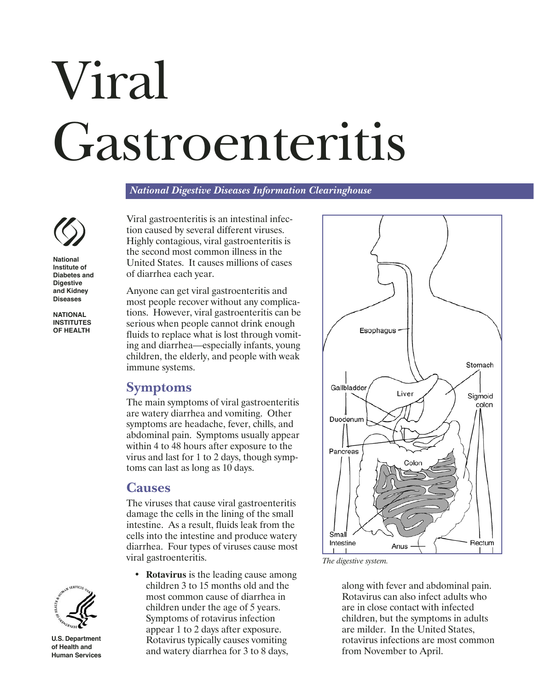# Viral Gastroenteritis

*National Digestive Diseases Information Clearinghouse* 



**National Institute of Diabetes and Digestive and Kidney Diseases** 

**NATIONAL INSTITUTES OF HEALTH** 

Viral gastroenteritis is an intestinal infection caused by several different viruses. Highly contagious, viral gastroenteritis is the second most common illness in the United States. It causes millions of cases of diarrhea each year.

Anyone can get viral gastroenteritis and most people recover without any complications. However, viral gastroenteritis can be serious when people cannot drink enough fluids to replace what is lost through vomiting and diarrhea—especially infants, young children, the elderly, and people with weak immune systems.

## **Symptoms**

The main symptoms of viral gastroenteritis are watery diarrhea and vomiting. Other symptoms are headache, fever, chills, and abdominal pain. Symptoms usually appear within 4 to 48 hours after exposure to the virus and last for 1 to 2 days, though symptoms can last as long as 10 days.

## **Causes**

The viruses that cause viral gastroenteritis damage the cells in the lining of the small intestine. As a result, fluids leak from the cells into the intestine and produce watery diarrhea. Four types of viruses cause most viral gastroenteritis.

• **Rotavirus** is the leading cause among children 3 to 15 months old and the most common cause of diarrhea in children under the age of 5 years. Symptoms of rotavirus infection appear 1 to 2 days after exposure. Rotavirus typically causes vomiting and watery diarrhea for 3 to 8 days,



*The digestive system.* 

along with fever and abdominal pain. Rotavirus can also infect adults who are in close contact with infected children, but the symptoms in adults are milder. In the United States, rotavirus infections are most common from November to April.



**U.S. Department of Health and Human Services**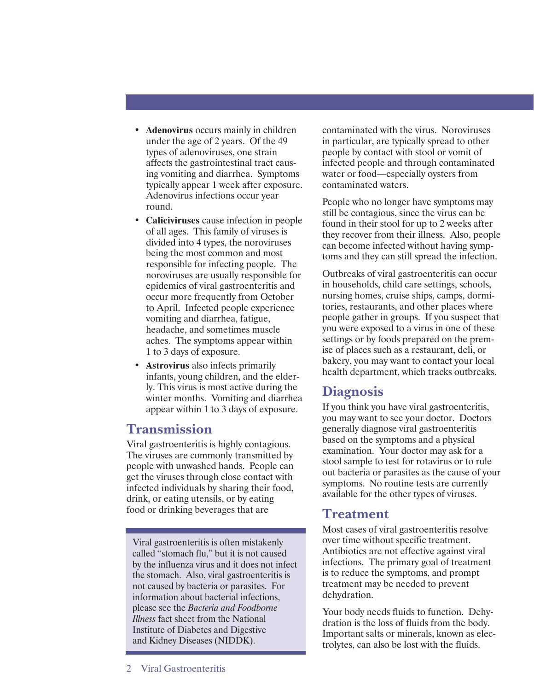- **Adenovirus** occurs mainly in children under the age of 2 years. Of the 49 types of adenoviruses, one strain affects the gastrointestinal tract causing vomiting and diarrhea. Symptoms typically appear 1 week after exposure. Adenovirus infections occur year round.
- **Caliciviruses** cause infection in people of all ages. This family of viruses is divided into 4 types, the noroviruses being the most common and most responsible for infecting people. The noroviruses are usually responsible for epidemics of viral gastroenteritis and occur more frequently from October to April. Infected people experience vomiting and diarrhea, fatigue, headache, and sometimes muscle aches. The symptoms appear within 1 to 3 days of exposure.
- **Astrovirus** also infects primarily infants, young children, and the elderly. This virus is most active during the winter months. Vomiting and diarrhea appear within 1 to 3 days of exposure.

## **Transmission**

Viral gastroenteritis is highly contagious. The viruses are commonly transmitted by people with unwashed hands. People can get the viruses through close contact with infected individuals by sharing their food, drink, or eating utensils, or by eating food or drinking beverages that are

called "stomach flu," but it is not caused the stomach. Also, viral gastroenteritis is not caused by bacteria or parasites. For information about bacterial infections, please see the *Bacteria and Foodborne Illness* fact sheet from the National Institute of Diabetes and Digestive Viral gastroenteritis is often mistakenly by the influenza virus and it does not infect and Kidney Diseases (NIDDK).

contaminated with the virus. Noroviruses in particular, are typically spread to other people by contact with stool or vomit of infected people and through contaminated water or food—especially oysters from contaminated waters.

People who no longer have symptoms may still be contagious, since the virus can be found in their stool for up to 2 weeks after they recover from their illness. Also, people can become infected without having symptoms and they can still spread the infection.

Outbreaks of viral gastroenteritis can occur in households, child care settings, schools, nursing homes, cruise ships, camps, dormitories, restaurants, and other places where people gather in groups. If you suspect that you were exposed to a virus in one of these settings or by foods prepared on the premise of places such as a restaurant, deli, or bakery, you may want to contact your local health department, which tracks outbreaks.

## **Diagnosis**

If you think you have viral gastroenteritis, you may want to see your doctor. Doctors generally diagnose viral gastroenteritis based on the symptoms and a physical examination. Your doctor may ask for a stool sample to test for rotavirus or to rule out bacteria or parasites as the cause of your symptoms. No routine tests are currently available for the other types of viruses.

## **Treatment**

Most cases of viral gastroenteritis resolve over time without specific treatment. Antibiotics are not effective against viral infections. The primary goal of treatment is to reduce the symptoms, and prompt treatment may be needed to prevent dehydration.

Your body needs fluids to function. Dehydration is the loss of fluids from the body. Important salts or minerals, known as electrolytes, can also be lost with the fluids.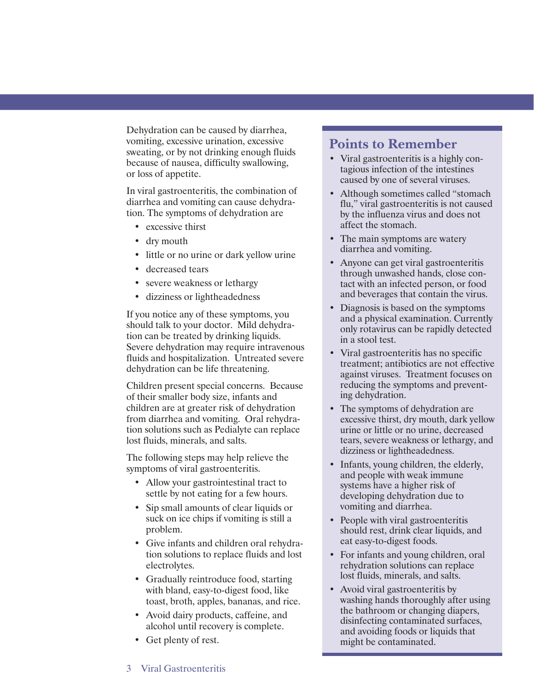Dehydration can be caused by diarrhea, vomiting, excessive urination, excessive sweating, or by not drinking enough fluids because of nausea, difficulty swallowing, or loss of appetite.

In viral gastroenteritis, the combination of diarrhea and vomiting can cause dehydration. The symptoms of dehydration are

- excessive thirst
- dry mouth
- little or no urine or dark yellow urine
- decreased tears
- severe weakness or lethargy
- dizziness or lightheadedness

If you notice any of these symptoms, you should talk to your doctor. Mild dehydration can be treated by drinking liquids. Severe dehydration may require intravenous fluids and hospitalization. Untreated severe dehydration can be life threatening.

Children present special concerns. Because of their smaller body size, infants and children are at greater risk of dehydration from diarrhea and vomiting. Oral rehydration solutions such as Pedialyte can replace lost fluids, minerals, and salts.

The following steps may help relieve the symptoms of viral gastroenteritis.

- Allow your gastrointestinal tract to settle by not eating for a few hours.
- Sip small amounts of clear liquids or suck on ice chips if vomiting is still a problem.
- Give infants and children oral rehydration solutions to replace fluids and lost electrolytes.
- Gradually reintroduce food, starting with bland, easy-to-digest food, like toast, broth, apples, bananas, and rice.
- • Avoid dairy products, caffeine, and alcohol until recovery is complete.
- Get plenty of rest.

#### **Points to Remember**

- Viral gastroenteritis is a highly contagious infection of the intestines caused by one of several viruses.
- Although sometimes called "stomach" flu," viral gastroenteritis is not caused by the influenza virus and does not affect the stomach.
- The main symptoms are watery diarrhea and vomiting.
- Anyone can get viral gastroenteritis through unwashed hands, close contact with an infected person, or food and beverages that contain the virus.
- Diagnosis is based on the symptoms and a physical examination. Currently only rotavirus can be rapidly detected in a stool test.
- Viral gastroenteritis has no specific treatment; antibiotics are not effective against viruses. Treatment focuses on reducing the symptoms and preventing dehydration.
- The symptoms of dehydration are excessive thirst, dry mouth, dark yellow urine or little or no urine, decreased tears, severe weakness or lethargy, and dizziness or lightheadedness.
- Infants, young children, the elderly, and people with weak immune systems have a higher risk of developing dehydration due to vomiting and diarrhea.
- People with viral gastroenteritis should rest, drink clear liquids, and eat easy-to-digest foods.
- For infants and young children, oral rehydration solutions can replace lost fluids, minerals, and salts.
- Avoid viral gastroenteritis by the bathroom or changing diapers, disinfecting contaminated surfaces, and avoiding foods or liquids that might be contaminated. washing hands thoroughly after using